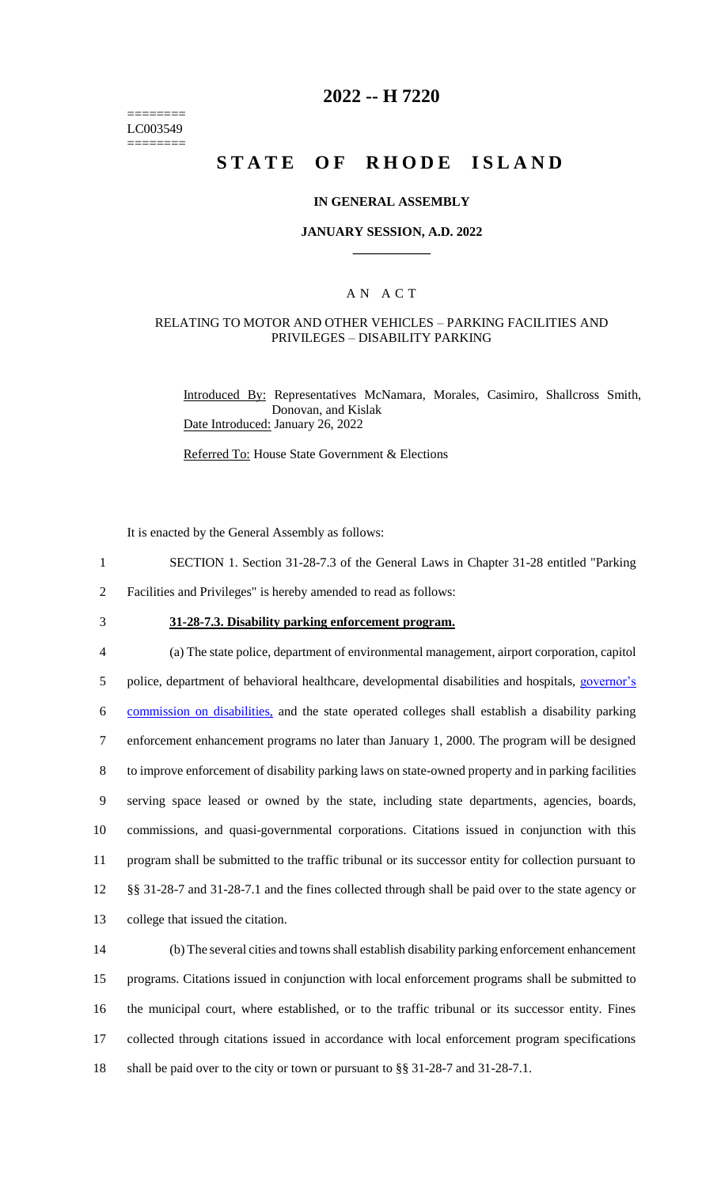======== LC003549 ========

# **2022 -- H 7220**

# **STATE OF RHODE ISLAND**

#### **IN GENERAL ASSEMBLY**

#### **JANUARY SESSION, A.D. 2022 \_\_\_\_\_\_\_\_\_\_\_\_**

## A N A C T

### RELATING TO MOTOR AND OTHER VEHICLES – PARKING FACILITIES AND PRIVILEGES – DISABILITY PARKING

Introduced By: Representatives McNamara, Morales, Casimiro, Shallcross Smith, Donovan, and Kislak Date Introduced: January 26, 2022

Referred To: House State Government & Elections

It is enacted by the General Assembly as follows:

- 1 SECTION 1. Section 31-28-7.3 of the General Laws in Chapter 31-28 entitled "Parking
- 2 Facilities and Privileges" is hereby amended to read as follows:
- 

3 **31-28-7.3. Disability parking enforcement program.**

 (a) The state police, department of environmental management, airport corporation, capitol police, department of behavioral healthcare, developmental disabilities and hospitals, governor's commission on disabilities, and the state operated colleges shall establish a disability parking enforcement enhancement programs no later than January 1, 2000. The program will be designed to improve enforcement of disability parking laws on state-owned property and in parking facilities serving space leased or owned by the state, including state departments, agencies, boards, commissions, and quasi-governmental corporations. Citations issued in conjunction with this program shall be submitted to the traffic tribunal or its successor entity for collection pursuant to §§ 31-28-7 and 31-28-7.1 and the fines collected through shall be paid over to the state agency or college that issued the citation.

 (b) The several cities and towns shall establish disability parking enforcement enhancement programs. Citations issued in conjunction with local enforcement programs shall be submitted to the municipal court, where established, or to the traffic tribunal or its successor entity. Fines collected through citations issued in accordance with local enforcement program specifications shall be paid over to the city or town or pursuant to §§ 31-28-7 and 31-28-7.1.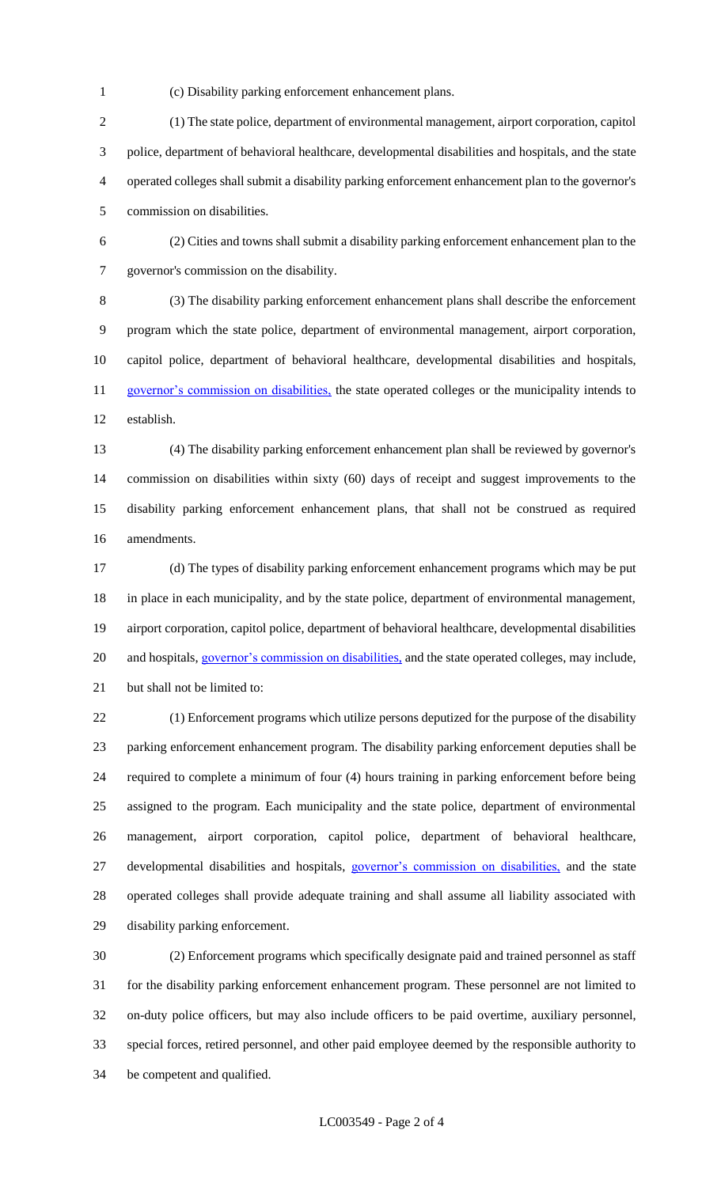(c) Disability parking enforcement enhancement plans.

 (1) The state police, department of environmental management, airport corporation, capitol police, department of behavioral healthcare, developmental disabilities and hospitals, and the state operated colleges shall submit a disability parking enforcement enhancement plan to the governor's commission on disabilities.

 (2) Cities and towns shall submit a disability parking enforcement enhancement plan to the governor's commission on the disability.

 (3) The disability parking enforcement enhancement plans shall describe the enforcement program which the state police, department of environmental management, airport corporation, capitol police, department of behavioral healthcare, developmental disabilities and hospitals, 11 governor's commission on disabilities, the state operated colleges or the municipality intends to establish.

 (4) The disability parking enforcement enhancement plan shall be reviewed by governor's commission on disabilities within sixty (60) days of receipt and suggest improvements to the disability parking enforcement enhancement plans, that shall not be construed as required amendments.

 (d) The types of disability parking enforcement enhancement programs which may be put in place in each municipality, and by the state police, department of environmental management, airport corporation, capitol police, department of behavioral healthcare, developmental disabilities 20 and hospitals, governor's commission on disabilities, and the state operated colleges, may include, but shall not be limited to:

 (1) Enforcement programs which utilize persons deputized for the purpose of the disability parking enforcement enhancement program. The disability parking enforcement deputies shall be required to complete a minimum of four (4) hours training in parking enforcement before being assigned to the program. Each municipality and the state police, department of environmental management, airport corporation, capitol police, department of behavioral healthcare, developmental disabilities and hospitals, governor's commission on disabilities, and the state operated colleges shall provide adequate training and shall assume all liability associated with disability parking enforcement.

 (2) Enforcement programs which specifically designate paid and trained personnel as staff for the disability parking enforcement enhancement program. These personnel are not limited to on-duty police officers, but may also include officers to be paid overtime, auxiliary personnel, special forces, retired personnel, and other paid employee deemed by the responsible authority to be competent and qualified.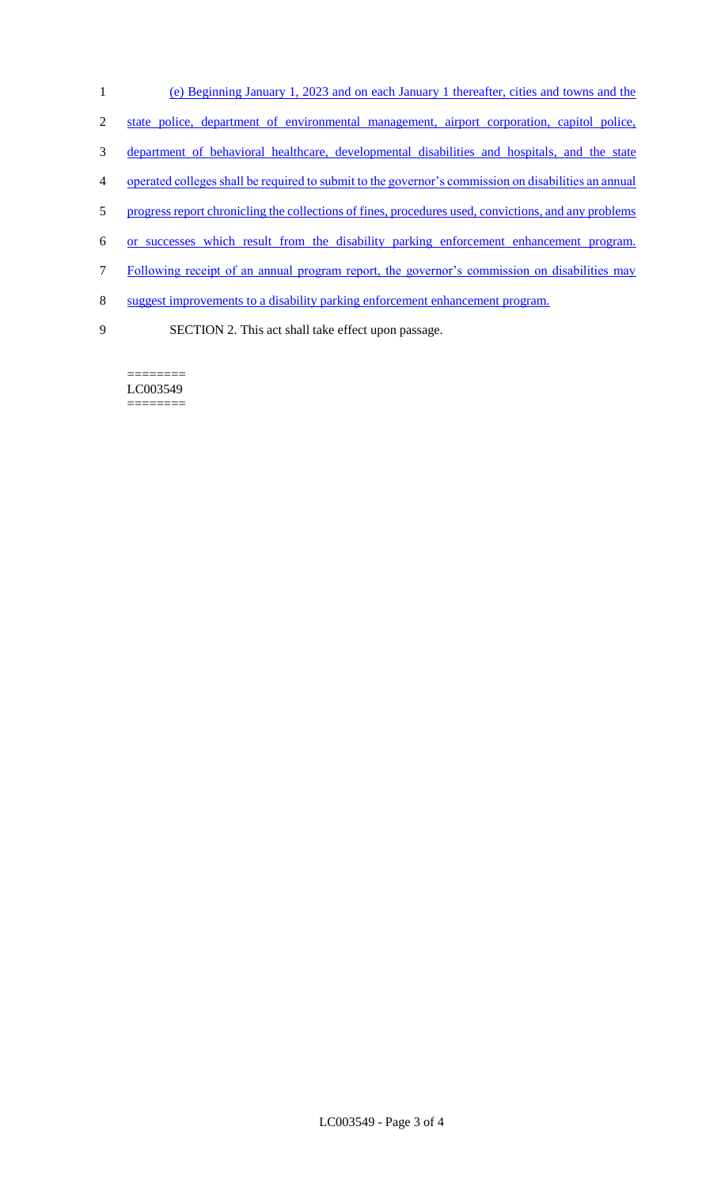- 1 (e) Beginning January 1, 2023 and on each January 1 thereafter, cities and towns and the
- 2 state police, department of environmental management, airport corporation, capitol police,
- 3 department of behavioral healthcare, developmental disabilities and hospitals, and the state
- 4 operated colleges shall be required to submit to the governor's commission on disabilities an annual
- 5 progress report chronicling the collections of fines, procedures used, convictions, and any problems
- 6 or successes which result from the disability parking enforcement enhancement program.
- 7 Following receipt of an annual program report, the governor's commission on disabilities may
- 8 suggest improvements to a disability parking enforcement enhancement program.
- 

9 SECTION 2. This act shall take effect upon passage.

LC003549 ========

========